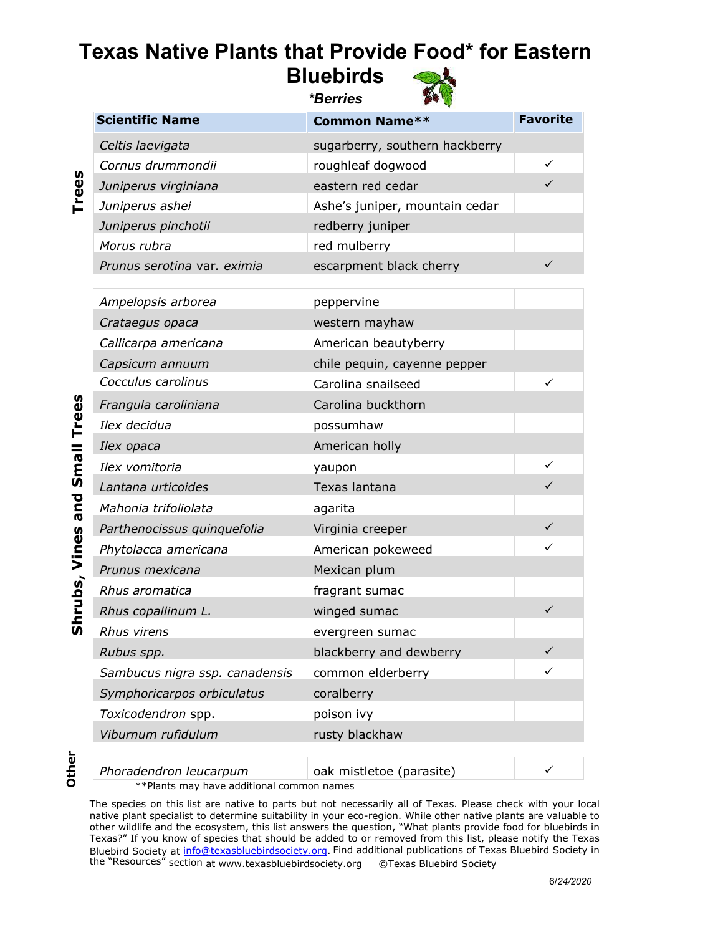## **Texas Native Plants that Provide Food\* for Eastern Bluebirds**

*\*Berries*



| <b>Scientific Name</b>      | <b>Common Name**</b>           | <b>Favorite</b> |
|-----------------------------|--------------------------------|-----------------|
| Celtis laevigata            | sugarberry, southern hackberry |                 |
| Cornus drummondii           | roughleaf dogwood              | ✓               |
| Juniperus virginiana        | eastern red cedar              |                 |
| Juniperus ashei             | Ashe's juniper, mountain cedar |                 |
| Juniperus pinchotii         | redberry juniper               |                 |
| Morus rubra                 | red mulberry                   |                 |
| Prunus serotina var. eximia | escarpment black cherry        |                 |
|                             |                                |                 |

| Ampelopsis arborea             | peppervine                   |              |
|--------------------------------|------------------------------|--------------|
| Crataegus opaca                | western mayhaw               |              |
| Callicarpa americana           | American beautyberry         |              |
| Capsicum annuum                | chile pequin, cayenne pepper |              |
| Cocculus carolinus             | Carolina snailseed           | ✓            |
| Frangula caroliniana           | Carolina buckthorn           |              |
| Ilex decidua                   | possumhaw                    |              |
| Ilex opaca                     | American holly               |              |
| Ilex vomitoria                 | yaupon                       |              |
| Lantana urticoides             | Texas lantana                | ✓            |
| Mahonia trifoliolata           | agarita                      |              |
| Parthenocissus quinquefolia    | Virginia creeper             | ✓            |
| Phytolacca americana           | American pokeweed            | ✓            |
| Prunus mexicana                | Mexican plum                 |              |
| Rhus aromatica                 | fragrant sumac               |              |
| Rhus copallinum L.             | winged sumac                 | $\checkmark$ |
| Rhus virens                    | evergreen sumac              |              |
| Rubus spp.                     | blackberry and dewberry      | ✓            |
| Sambucus nigra ssp. canadensis | common elderberry            | ✓            |
| Symphoricarpos orbiculatus     | coralberry                   |              |
| Toxicodendron spp.             | poison ivy                   |              |
| Viburnum rufidulum             | rusty blackhaw               |              |
|                                |                              |              |
|                                |                              |              |

**Trees**

*Phoradendron leucarpum* **oak mistletoe (parasite)** \*\*Plants may have additional common names

The species on this list are native to parts but not necessarily all of Texas. Please check with your local native plant specialist to determine suitability in your eco-region. While other native plants are valuable to other wildlife and the ecosystem, this list answers the question, "What plants provide food for bluebirds in Texas?" If you know of species that should be added to or removed from this list, please notify the Texas [Bluebird Society](mailto:info@texasbluebirdsociety.org) at info@texasbluebirdsociety.org. Find additional publications of Texas Bluebird Society in the "Resources" section at www.texasbluebirdsociety.org ©Texa[s Bluebird Society](http://www.texasbluebirdsociety.org/)